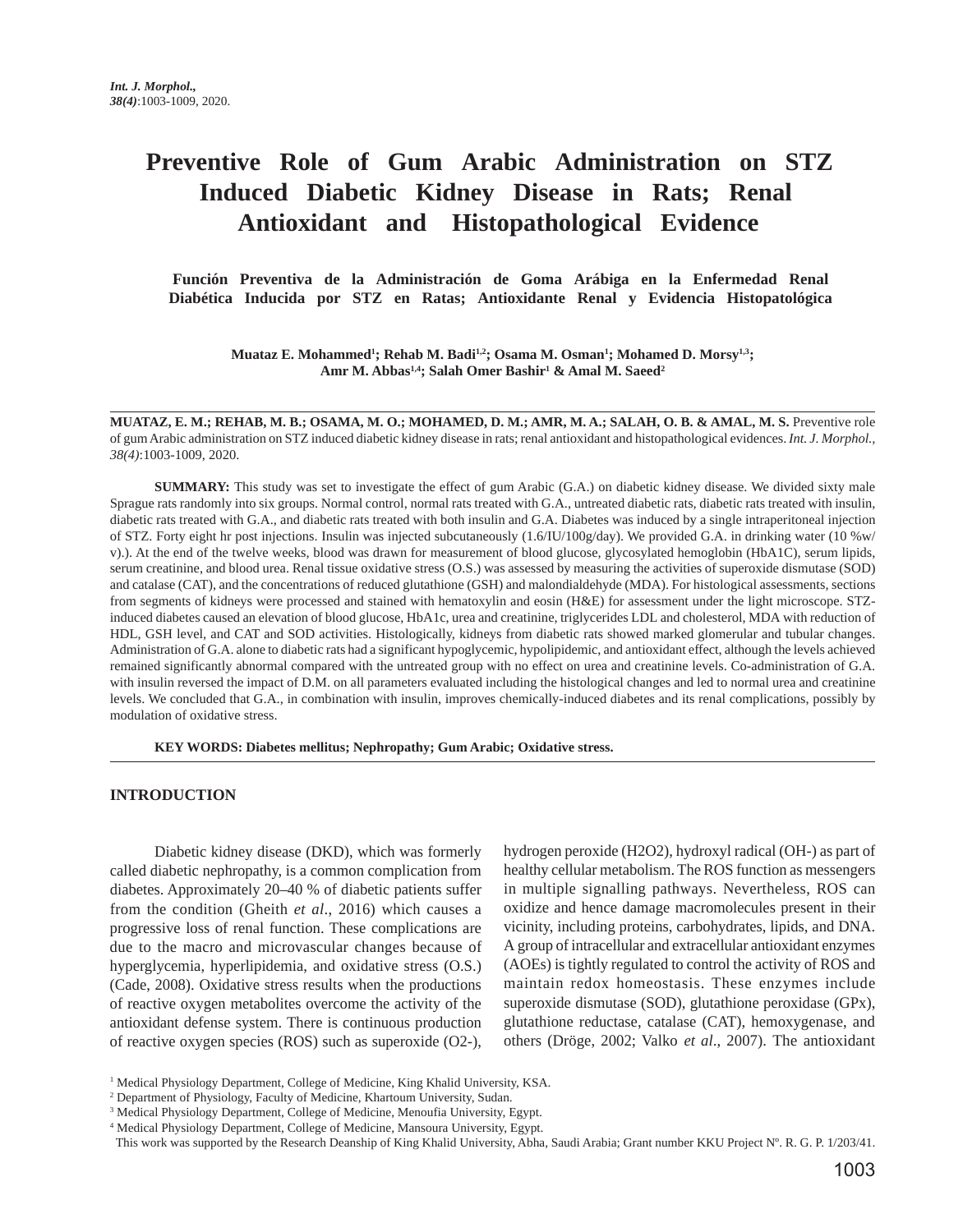# **Preventive Role of Gum Arabic Administration on STZ Induced Diabetic Kidney Disease in Rats; Renal Antioxidant and Histopathological Evidence**

 **Función Preventiva de la Administración de Goma Arábiga en la Enfermedad Renal Diabética Inducida por STZ en Ratas; Antioxidante Renal y Evidencia Histopatológica** 

**Muataz E. Mohammed1 ; Rehab M. Badi1,2; Osama M. Osman1 ; Mohamed D. Morsy1,3; Amr M. Abbas1,4; Salah Omer Bashir1 & Amal M. Saeed2**

**MUATAZ, E. M.; REHAB, M. B.; OSAMA, M. O.; MOHAMED, D. M.; AMR, M. A.; SALAH, O. B. & AMAL, M. S.** Preventive role of gum Arabic administration on STZ induced diabetic kidney disease in rats; renal antioxidant and histopathological evidences. *Int. J. Morphol., 38(4)*:1003-1009, 2020.

**SUMMARY:** This study was set to investigate the effect of gum Arabic (G.A.) on diabetic kidney disease. We divided sixty male Sprague rats randomly into six groups. Normal control, normal rats treated with G.A., untreated diabetic rats, diabetic rats treated with insulin, diabetic rats treated with G.A., and diabetic rats treated with both insulin and G.A. Diabetes was induced by a single intraperitoneal injection of STZ. Forty eight hr post injections. Insulin was injected subcutaneously (1.6/IU/100g/day). We provided G.A. in drinking water (10 %w/ v).). At the end of the twelve weeks, blood was drawn for measurement of blood glucose, glycosylated hemoglobin (HbA1C), serum lipids, serum creatinine, and blood urea. Renal tissue oxidative stress (O.S.) was assessed by measuring the activities of superoxide dismutase (SOD) and catalase (CAT), and the concentrations of reduced glutathione (GSH) and malondialdehyde (MDA). For histological assessments, sections from segments of kidneys were processed and stained with hematoxylin and eosin (H&E) for assessment under the light microscope. STZinduced diabetes caused an elevation of blood glucose, HbA1c, urea and creatinine, triglycerides LDL and cholesterol, MDA with reduction of HDL, GSH level, and CAT and SOD activities. Histologically, kidneys from diabetic rats showed marked glomerular and tubular changes. Administration of G.A. alone to diabetic rats had a significant hypoglycemic, hypolipidemic, and antioxidant effect, although the levels achieved remained significantly abnormal compared with the untreated group with no effect on urea and creatinine levels. Co-administration of G.A. with insulin reversed the impact of D.M. on all parameters evaluated including the histological changes and led to normal urea and creatinine levels. We concluded that G.A., in combination with insulin, improves chemically-induced diabetes and its renal complications, possibly by modulation of oxidative stress.

**KEY WORDS: Diabetes mellitus; Nephropathy; Gum Arabic; Oxidative stress.**

### **INTRODUCTION**

Diabetic kidney disease (DKD), which was formerly called diabetic nephropathy, is a common complication from diabetes. Approximately 20–40 % of diabetic patients suffer from the condition (Gheith *et al*., 2016) which causes a progressive loss of renal function. These complications are due to the macro and microvascular changes because of hyperglycemia, hyperlipidemia, and oxidative stress (O.S.) (Cade, 2008). Oxidative stress results when the productions of reactive oxygen metabolites overcome the activity of the antioxidant defense system. There is continuous production of reactive oxygen species (ROS) such as superoxide (O2-), hydrogen peroxide (H2O2), hydroxyl radical (OH-) as part of healthy cellular metabolism. The ROS function as messengers in multiple signalling pathways. Nevertheless, ROS can oxidize and hence damage macromolecules present in their vicinity, including proteins, carbohydrates, lipids, and DNA. A group of intracellular and extracellular antioxidant enzymes (AOEs) is tightly regulated to control the activity of ROS and maintain redox homeostasis. These enzymes include superoxide dismutase (SOD), glutathione peroxidase (GPx), glutathione reductase, catalase (CAT), hemoxygenase, and others (Dröge, 2002; Valko *et al*., 2007). The antioxidant

<sup>&</sup>lt;sup>1</sup> Medical Physiology Department, College of Medicine, King Khalid University, KSA.

<sup>2</sup> Department of Physiology, Faculty of Medicine, Khartoum University, Sudan.

<sup>&</sup>lt;sup>3</sup> Medical Physiology Department, College of Medicine, Menoufia University, Egypt.

<sup>4</sup> Medical Physiology Department, College of Medicine, Mansoura University, Egypt.

This work was supported by the Research Deanship of King Khalid University, Abha, Saudi Arabia; Grant number KKU Project Nº. R. G. P. 1/203/41.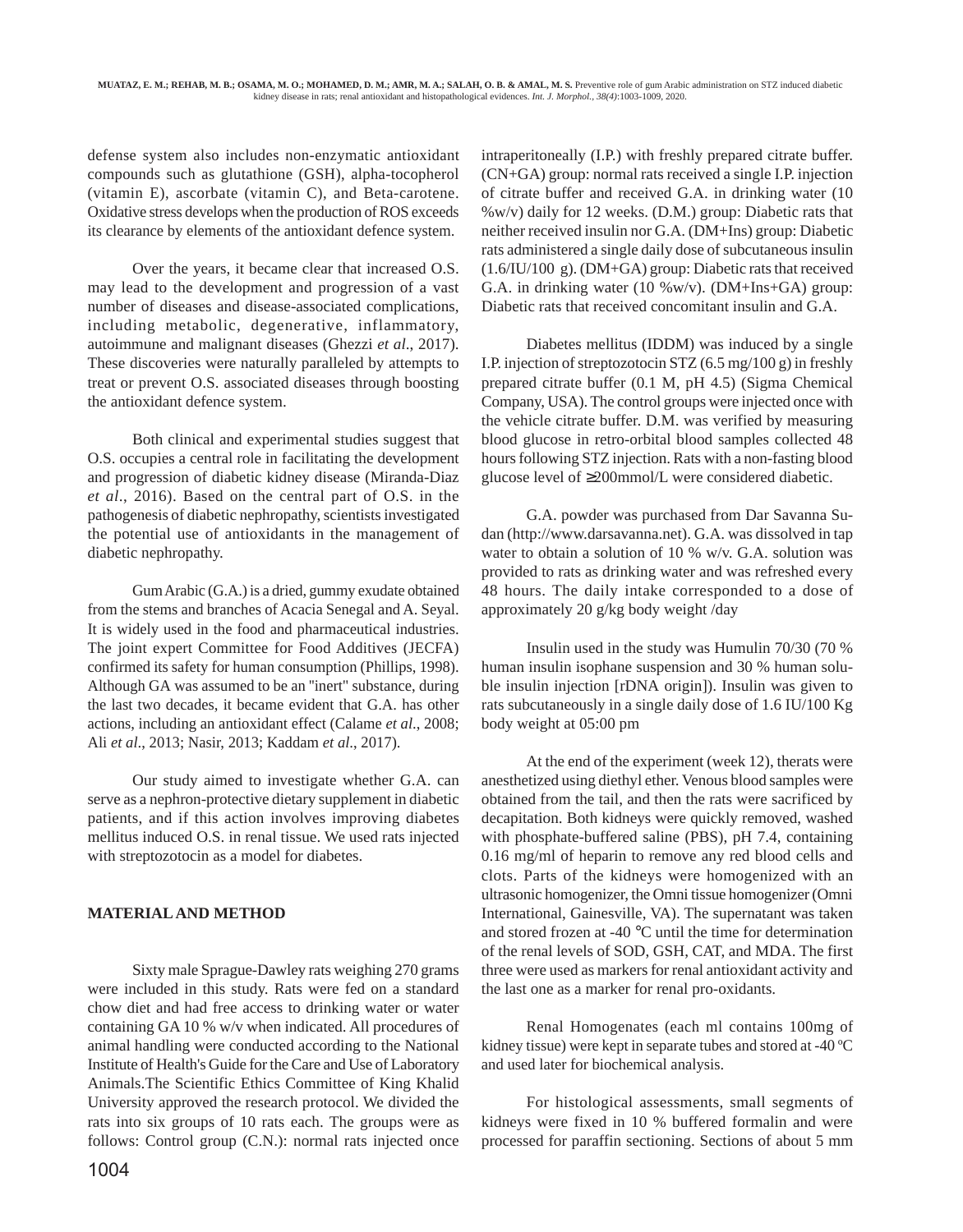defense system also includes non-enzymatic antioxidant compounds such as glutathione (GSH), alpha-tocopherol (vitamin E), ascorbate (vitamin C), and Beta-carotene. Oxidative stress develops when the production of ROS exceeds its clearance by elements of the antioxidant defence system.

Over the years, it became clear that increased O.S. may lead to the development and progression of a vast number of diseases and disease-associated complications, including metabolic, degenerative, inflammatory, autoimmune and malignant diseases (Ghezzi *et al*., 2017). These discoveries were naturally paralleled by attempts to treat or prevent O.S. associated diseases through boosting the antioxidant defence system.

Both clinical and experimental studies suggest that O.S. occupies a central role in facilitating the development and progression of diabetic kidney disease (Miranda-Diaz *et al*., 2016). Based on the central part of O.S. in the pathogenesis of diabetic nephropathy, scientists investigated the potential use of antioxidants in the management of diabetic nephropathy.

Gum Arabic (G.A.) is a dried, gummy exudate obtained from the stems and branches of Acacia Senegal and A. Seyal. It is widely used in the food and pharmaceutical industries. The joint expert Committee for Food Additives (JECFA) confirmed its safety for human consumption (Phillips, 1998). Although GA was assumed to be an ''inert" substance, during the last two decades, it became evident that G.A. has other actions, including an antioxidant effect (Calame *et al*., 2008; Ali *et al*., 2013; Nasir, 2013; Kaddam *et al*., 2017).

Our study aimed to investigate whether G.A. can serve as a nephron-protective dietary supplement in diabetic patients, and if this action involves improving diabetes mellitus induced O.S. in renal tissue. We used rats injected with streptozotocin as a model for diabetes.

# **MATERIAL AND METHOD**

Sixty male Sprague-Dawley rats weighing 270 grams were included in this study. Rats were fed on a standard chow diet and had free access to drinking water or water containing GA 10 % w/v when indicated. All procedures of animal handling were conducted according to the National Institute of Health's Guide for the Care and Use of Laboratory Animals.The Scientific Ethics Committee of King Khalid University approved the research protocol. We divided the rats into six groups of 10 rats each. The groups were as follows: Control group (C.N.): normal rats injected once intraperitoneally (I.P.) with freshly prepared citrate buffer. (CN+GA) group: normal rats received a single I.P. injection of citrate buffer and received G.A. in drinking water (10 %w/v) daily for 12 weeks. (D.M.) group: Diabetic rats that neither received insulin nor G.A. (DM+Ins) group: Diabetic rats administered a single daily dose of subcutaneous insulin (1.6/IU/100 g). (DM+GA) group: Diabetic rats that received G.A. in drinking water  $(10\ \text{W})(v)$ . (DM+Ins+GA) group: Diabetic rats that received concomitant insulin and G.A.

Diabetes mellitus (IDDM) was induced by a single I.P. injection of streptozotocin STZ (6.5 mg/100 g) in freshly prepared citrate buffer (0.1 M, pH 4.5) (Sigma Chemical Company, USA). The control groups were injected once with the vehicle citrate buffer. D.M. was verified by measuring blood glucose in retro-orbital blood samples collected 48 hours following STZ injection. Rats with a non-fasting blood glucose level of ≥200mmol/L were considered diabetic.

G.A. powder was purchased from Dar Savanna Sudan (http://www.darsavanna.net). G.A. was dissolved in tap water to obtain a solution of 10 % w/v. G.A. solution was provided to rats as drinking water and was refreshed every 48 hours. The daily intake corresponded to a dose of approximately 20 g/kg body weight /day

Insulin used in the study was Humulin 70/30 (70 % human insulin isophane suspension and 30 % human soluble insulin injection [rDNA origin]). Insulin was given to rats subcutaneously in a single daily dose of 1.6 IU/100 Kg body weight at 05:00 pm

At the end of the experiment (week 12), therats were anesthetized using diethyl ether. Venous blood samples were obtained from the tail, and then the rats were sacrificed by decapitation. Both kidneys were quickly removed, washed with phosphate-buffered saline (PBS), pH 7.4, containing 0.16 mg/ml of heparin to remove any red blood cells and clots. Parts of the kidneys were homogenized with an ultrasonic homogenizer, the Omni tissue homogenizer (Omni International, Gainesville, VA). The supernatant was taken and stored frozen at -40 °C until the time for determination of the renal levels of SOD, GSH, CAT, and MDA. The first three were used as markers for renal antioxidant activity and the last one as a marker for renal pro-oxidants.

Renal Homogenates (each ml contains 100mg of kidney tissue) were kept in separate tubes and stored at -40 ºC and used later for biochemical analysis.

For histological assessments, small segments of kidneys were fixed in 10 % buffered formalin and were processed for paraffin sectioning. Sections of about 5 mm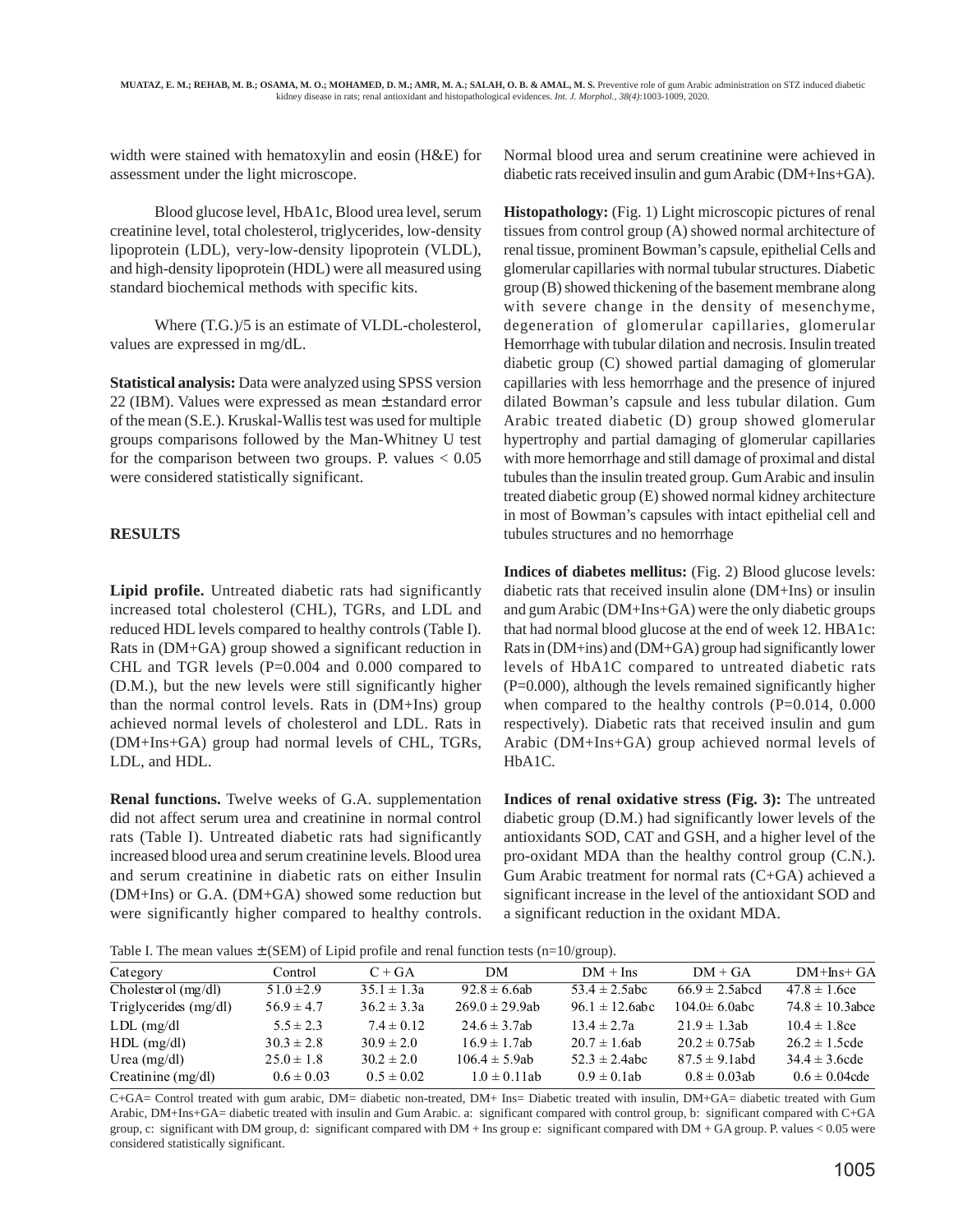width were stained with hematoxylin and eosin (H&E) for assessment under the light microscope.

Blood glucose level, HbA1c, Blood urea level, serum creatinine level, total cholesterol, triglycerides, low-density lipoprotein (LDL), very-low-density lipoprotein (VLDL), and high-density lipoprotein (HDL) were all measured using standard biochemical methods with specific kits.

Where (T.G.)/5 is an estimate of VLDL-cholesterol, values are expressed in mg/dL.

**Statistical analysis:** Data were analyzed using SPSS version 22 (IBM). Values were expressed as mean ± standard error of the mean (S.E.). Kruskal-Wallis test was used for multiple groups comparisons followed by the Man-Whitney U test for the comparison between two groups. P. values  $< 0.05$ were considered statistically significant.

## **RESULTS**

**Lipid profile.** Untreated diabetic rats had significantly increased total cholesterol (CHL), TGRs, and LDL and reduced HDL levels compared to healthy controls (Table I). Rats in (DM+GA) group showed a significant reduction in CHL and TGR levels (P=0.004 and 0.000 compared to (D.M.), but the new levels were still significantly higher than the normal control levels. Rats in (DM+Ins) group achieved normal levels of cholesterol and LDL. Rats in (DM+Ins+GA) group had normal levels of CHL, TGRs, LDL, and HDL.

**Renal functions.** Twelve weeks of G.A. supplementation did not affect serum urea and creatinine in normal control rats (Table I). Untreated diabetic rats had significantly increased blood urea and serum creatinine levels. Blood urea and serum creatinine in diabetic rats on either Insulin (DM+Ins) or G.A. (DM+GA) showed some reduction but were significantly higher compared to healthy controls.

Normal blood urea and serum creatinine were achieved in diabetic rats received insulin and gum Arabic (DM+Ins+GA).

**Histopathology:** (Fig. 1) Light microscopic pictures of renal tissues from control group (A) showed normal architecture of renal tissue, prominent Bowman's capsule, epithelial Cells and glomerular capillaries with normal tubular structures. Diabetic group (B) showed thickening of the basement membrane along with severe change in the density of mesenchyme, degeneration of glomerular capillaries, glomerular Hemorrhage with tubular dilation and necrosis. Insulin treated diabetic group (C) showed partial damaging of glomerular capillaries with less hemorrhage and the presence of injured dilated Bowman's capsule and less tubular dilation. Gum Arabic treated diabetic (D) group showed glomerular hypertrophy and partial damaging of glomerular capillaries with more hemorrhage and still damage of proximal and distal tubules than the insulin treated group. Gum Arabic and insulin treated diabetic group (E) showed normal kidney architecture in most of Bowman's capsules with intact epithelial cell and tubules structures and no hemorrhage

**Indices of diabetes mellitus:** (Fig. 2) Blood glucose levels: diabetic rats that received insulin alone (DM+Ins) or insulin and gum Arabic (DM+Ins+GA) were the only diabetic groups that had normal blood glucose at the end of week 12. HBA1c: Rats in (DM+ins) and (DM+GA) group had significantly lower levels of HbA1C compared to untreated diabetic rats (P=0.000), although the levels remained significantly higher when compared to the healthy controls  $(P=0.014, 0.000)$ respectively). Diabetic rats that received insulin and gum Arabic (DM+Ins+GA) group achieved normal levels of HbA1C.

**Indices of renal oxidative stress (Fig. 3):** The untreated diabetic group (D.M.) had significantly lower levels of the antioxidants SOD, CAT and GSH, and a higher level of the pro-oxidant MDA than the healthy control group (C.N.). Gum Arabic treatment for normal rats (C+GA) achieved a significant increase in the level of the antioxidant SOD and a significant reduction in the oxidant MDA.

Table I. The mean values  $\pm$  (SEM) of Lipid profile and renal function tests (n=10/group).

| Category                |                |                 |                     |                     |                     |                      |
|-------------------------|----------------|-----------------|---------------------|---------------------|---------------------|----------------------|
|                         | Control        | $C + GA$        | DМ                  | $DM + Ins$          | $DM + GA$           | $DM+Ins+ GA$         |
| Cholester of $(mg/dl)$  | $51.0 \pm 2.9$ | $35.1 \pm 1.3a$ | $92.8 \pm 6.6$ ab   | $53.4 \pm 2.5$ abc  | $66.9 \pm 2.5$ abcd | $47.8 \pm 1.6$ ce    |
| Triglycerides $(mg/dl)$ | $56.9 \pm 4.7$ | $36.2 \pm 3.3a$ | $269.0 \pm 29.9$ ab | $96.1 \pm 12.6$ abc | $104.0 \pm 6.0$ abc | $74.8 \pm 10.3$ abce |
| $LDL$ (mg/dl)           | $5.5 \pm 2.3$  | $7.4 \pm 0.12$  | $24.6 \pm 3.7$ ab   | $13.4 \pm 2.7a$     | $21.9 \pm 1.3$ ab   | $10.4 \pm 1.8$ ce    |
| $HDL$ (mg/dl)           | $30.3 \pm 2.8$ | $30.9 \pm 2.0$  | $16.9 \pm 1.7$ ab   | $20.7 \pm 1.6ab$    | $20.2 \pm 0.75$ ab  | $26.2 \pm 1.5$ cde   |
| Urea $(mg/dl)$          | $25.0 \pm 1.8$ | $30.2 \pm 2.0$  | $106.4 \pm 5.9ab$   | $52.3 \pm 2.4$ abc  | $87.5 \pm 9.1$ abd  | $34.4 \pm 3.6$ cde   |
| Creatinine $(mg/dl)$    | $0.6 \pm 0.03$ | $0.5 \pm 0.02$  | $1.0 \pm 0.11$ ab   | $0.9 \pm 0.1$ ab    | $0.8 \pm 0.03$ ab   | $0.6 \pm 0.04$ cde   |
|                         |                |                 |                     |                     |                     |                      |

C+GA= Control treated with gum arabic, DM= diabetic non-treated, DM+ Ins= Diabetic treated with insulin, DM+GA= diabetic treated with Gum Arabic, DM+Ins+GA= diabetic treated with insulin and Gum Arabic. a: significant compared with control group, b: significant compared with C+GA group, c: significant with DM group, d: significant compared with DM + Ins group e: significant compared with DM + GA group. P. values < 0.05 were considered statistically significant.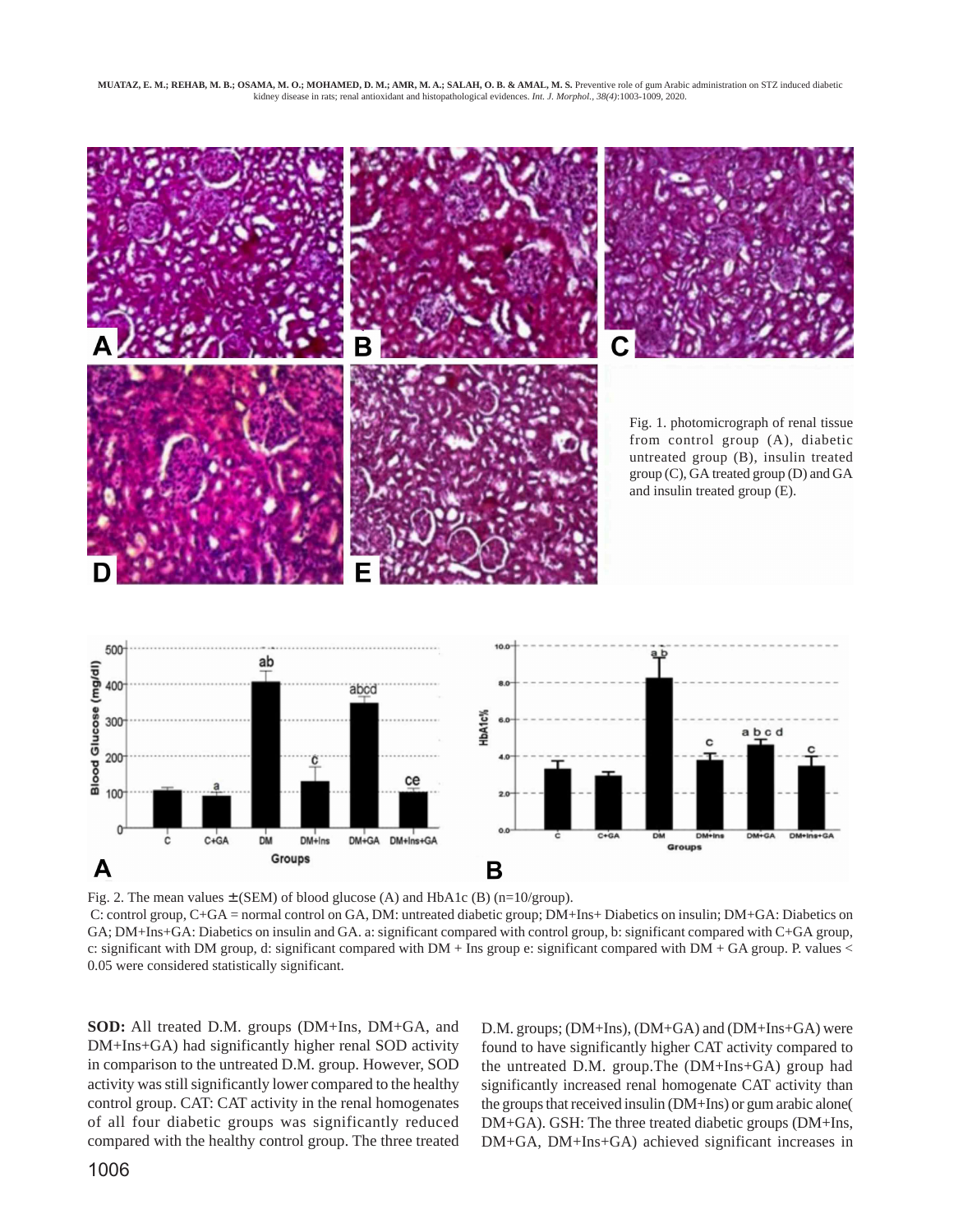

Fig. 2. The mean values  $\pm$  (SEM) of blood glucose (A) and HbA1c (B) (n=10/group). C: control group, C+GA = normal control on GA, DM: untreated diabetic group; DM+Ins+ Diabetics on insulin; DM+GA: Diabetics on GA; DM+Ins+GA: Diabetics on insulin and GA. a: significant compared with control group, b: significant compared with C+GA group, c: significant with DM group, d: significant compared with DM + Ins group e: significant compared with DM + GA group. P. values < 0.05 were considered statistically significant.

**SOD:** All treated D.M. groups (DM+Ins, DM+GA, and DM+Ins+GA) had significantly higher renal SOD activity in comparison to the untreated D.M. group. However, SOD activity was still significantly lower compared to the healthy control group. CAT: CAT activity in the renal homogenates of all four diabetic groups was significantly reduced compared with the healthy control group. The three treated D.M. groups; (DM+Ins), (DM+GA) and (DM+Ins+GA) were found to have significantly higher CAT activity compared to the untreated D.M. group.The (DM+Ins+GA) group had significantly increased renal homogenate CAT activity than the groups that received insulin (DM+Ins) or gum arabic alone( DM+GA). GSH: The three treated diabetic groups (DM+Ins, DM+GA, DM+Ins+GA) achieved significant increases in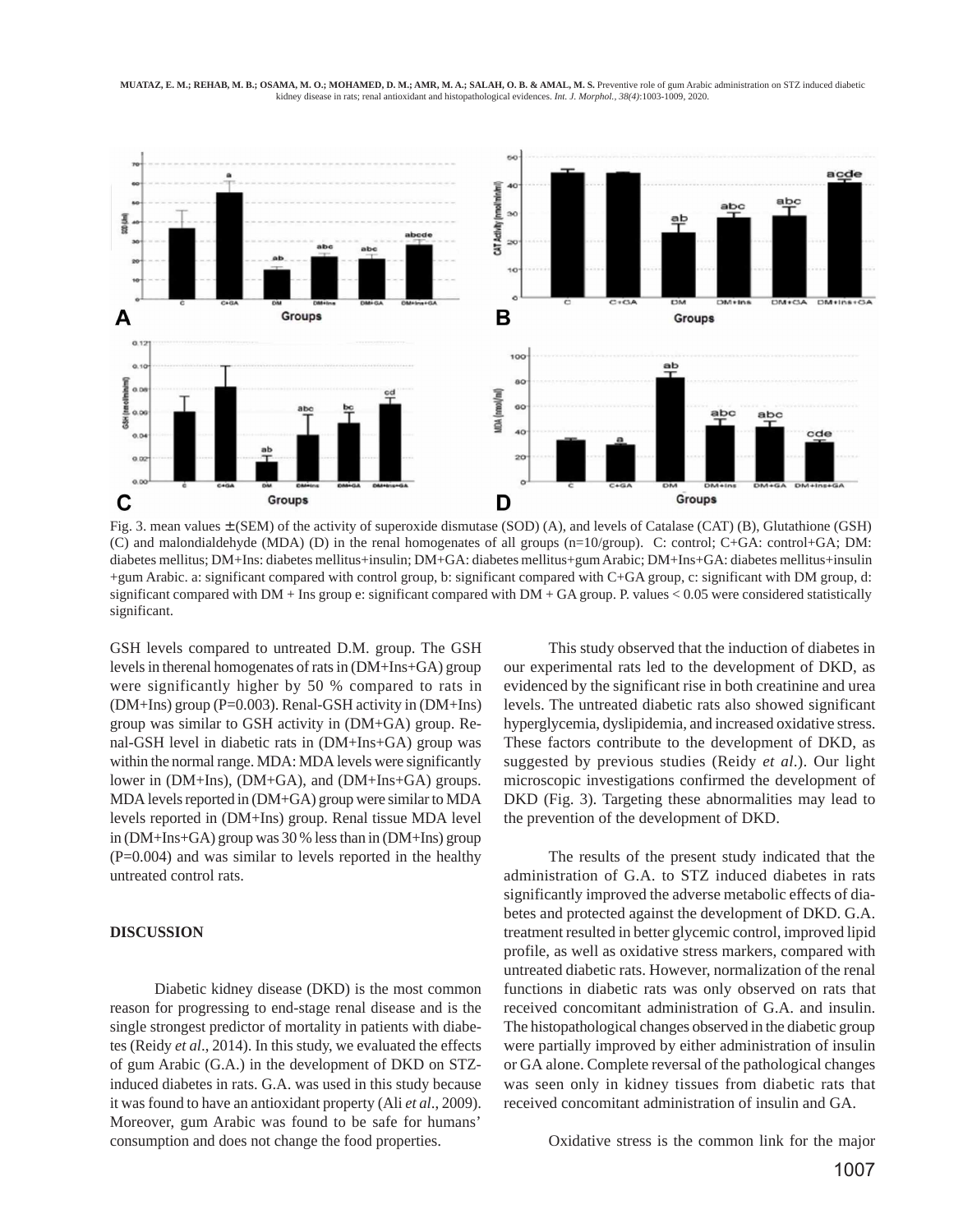#### **MUATAZ, E. M.; REHAB, M. B.; OSAMA, M. O.; MOHAMED, D. M.; AMR, M. A.; SALAH, O. B. & AMAL, M. S. Preventive role of gum Arabic administration on STZ induced diabetic** kidney disease in rats; renal antioxidant and histopathological evidences. *Int. J. Morphol., 38(4)*:1003-1009, 2020.



Fig. 3. mean values ± (SEM) of the activity of superoxide dismutase (SOD) (A), and levels of Catalase (CAT) (B), Glutathione (GSH) (C) and malondialdehyde (MDA) (D) in the renal homogenates of all groups (n=10/group). C: control; C+GA: control+GA; DM: diabetes mellitus; DM+Ins: diabetes mellitus+insulin; DM+GA: diabetes mellitus+gum Arabic; DM+Ins+GA: diabetes mellitus+insulin +gum Arabic. a: significant compared with control group, b: significant compared with C+GA group, c: significant with DM group, d: significant compared with DM + Ins group e: significant compared with DM + GA group. P. values < 0.05 were considered statistically significant.

GSH levels compared to untreated D.M. group. The GSH levels in therenal homogenates of rats in (DM+Ins+GA) group were significantly higher by 50 % compared to rats in (DM+Ins) group (P=0.003). Renal-GSH activity in (DM+Ins) group was similar to GSH activity in (DM+GA) group. Renal-GSH level in diabetic rats in (DM+Ins+GA) group was within the normal range. MDA: MDA levels were significantly lower in (DM+Ins), (DM+GA), and (DM+Ins+GA) groups. MDA levels reported in (DM+GA) group were similar to MDA levels reported in (DM+Ins) group. Renal tissue MDA level in (DM+Ins+GA) group was 30 % less than in (DM+Ins) group (P=0.004) and was similar to levels reported in the healthy untreated control rats.

#### **DISCUSSION**

Diabetic kidney disease (DKD) is the most common reason for progressing to end-stage renal disease and is the single strongest predictor of mortality in patients with diabetes (Reidy *et al*., 2014). In this study, we evaluated the effects of gum Arabic (G.A.) in the development of DKD on STZinduced diabetes in rats. G.A. was used in this study because it was found to have an antioxidant property (Ali *et al*., 2009). Moreover, gum Arabic was found to be safe for humans' consumption and does not change the food properties.

This study observed that the induction of diabetes in our experimental rats led to the development of DKD, as evidenced by the significant rise in both creatinine and urea levels. The untreated diabetic rats also showed significant hyperglycemia, dyslipidemia, and increased oxidative stress. These factors contribute to the development of DKD, as suggested by previous studies (Reidy *et al*.). Our light microscopic investigations confirmed the development of DKD (Fig. 3). Targeting these abnormalities may lead to the prevention of the development of DKD.

The results of the present study indicated that the administration of G.A. to STZ induced diabetes in rats significantly improved the adverse metabolic effects of diabetes and protected against the development of DKD. G.A. treatment resulted in better glycemic control, improved lipid profile, as well as oxidative stress markers, compared with untreated diabetic rats. However, normalization of the renal functions in diabetic rats was only observed on rats that received concomitant administration of G.A. and insulin. The histopathological changes observed in the diabetic group were partially improved by either administration of insulin or GA alone. Complete reversal of the pathological changes was seen only in kidney tissues from diabetic rats that received concomitant administration of insulin and GA.

Oxidative stress is the common link for the major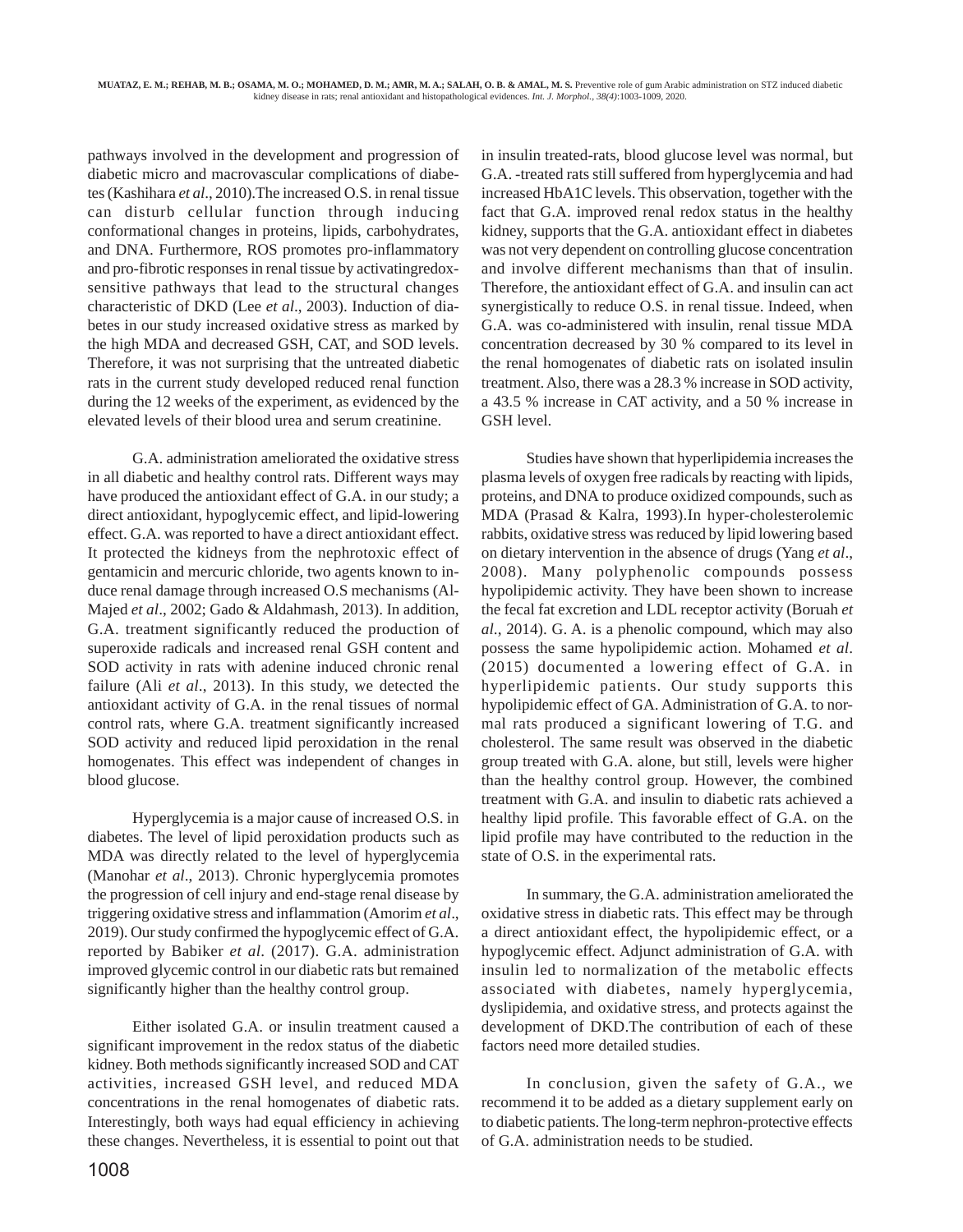pathways involved in the development and progression of diabetic micro and macrovascular complications of diabetes (Kashihara *et al*., 2010).The increased O.S. in renal tissue can disturb cellular function through inducing conformational changes in proteins, lipids, carbohydrates, and DNA. Furthermore, ROS promotes pro-inflammatory and pro-fibrotic responses in renal tissue by activatingredoxsensitive pathways that lead to the structural changes characteristic of DKD (Lee *et al*., 2003). Induction of diabetes in our study increased oxidative stress as marked by the high MDA and decreased GSH, CAT, and SOD levels. Therefore, it was not surprising that the untreated diabetic rats in the current study developed reduced renal function during the 12 weeks of the experiment, as evidenced by the elevated levels of their blood urea and serum creatinine.

G.A. administration ameliorated the oxidative stress in all diabetic and healthy control rats. Different ways may have produced the antioxidant effect of G.A. in our study; a direct antioxidant, hypoglycemic effect, and lipid-lowering effect. G.A. was reported to have a direct antioxidant effect. It protected the kidneys from the nephrotoxic effect of gentamicin and mercuric chloride, two agents known to induce renal damage through increased O.S mechanisms (Al-Majed *et al*., 2002; Gado & Aldahmash, 2013). In addition, G.A. treatment significantly reduced the production of superoxide radicals and increased renal GSH content and SOD activity in rats with adenine induced chronic renal failure (Ali *et al*., 2013). In this study, we detected the antioxidant activity of G.A. in the renal tissues of normal control rats, where G.A. treatment significantly increased SOD activity and reduced lipid peroxidation in the renal homogenates. This effect was independent of changes in blood glucose.

Hyperglycemia is a major cause of increased O.S. in diabetes. The level of lipid peroxidation products such as MDA was directly related to the level of hyperglycemia (Manohar *et al*., 2013). Chronic hyperglycemia promotes the progression of cell injury and end-stage renal disease by triggering oxidative stress and inflammation (Amorim *et al*., 2019). Our study confirmed the hypoglycemic effect of G.A. reported by Babiker *et al*. (2017). G.A. administration improved glycemic control in our diabetic rats but remained significantly higher than the healthy control group.

Either isolated G.A. or insulin treatment caused a significant improvement in the redox status of the diabetic kidney. Both methods significantly increased SOD and CAT activities, increased GSH level, and reduced MDA concentrations in the renal homogenates of diabetic rats. Interestingly, both ways had equal efficiency in achieving these changes. Nevertheless, it is essential to point out that in insulin treated-rats, blood glucose level was normal, but G.A. -treated rats still suffered from hyperglycemia and had increased HbA1C levels. This observation, together with the fact that G.A. improved renal redox status in the healthy kidney, supports that the G.A. antioxidant effect in diabetes was not very dependent on controlling glucose concentration and involve different mechanisms than that of insulin. Therefore, the antioxidant effect of G.A. and insulin can act synergistically to reduce O.S. in renal tissue. Indeed, when G.A. was co-administered with insulin, renal tissue MDA concentration decreased by 30 % compared to its level in the renal homogenates of diabetic rats on isolated insulin treatment. Also, there was a 28.3 % increase in SOD activity, a 43.5 % increase in CAT activity, and a 50 % increase in GSH level.

Studies have shown that hyperlipidemia increases the plasma levels of oxygen free radicals by reacting with lipids, proteins, and DNA to produce oxidized compounds, such as MDA (Prasad & Kalra, 1993).In hyper-cholesterolemic rabbits, oxidative stress was reduced by lipid lowering based on dietary intervention in the absence of drugs (Yang *et al*., 2008). Many polyphenolic compounds possess hypolipidemic activity. They have been shown to increase the fecal fat excretion and LDL receptor activity (Boruah *et al*., 2014). G. A. is a phenolic compound, which may also possess the same hypolipidemic action. Mohamed *et al*. (2015) documented a lowering effect of G.A. in hyperlipidemic patients. Our study supports this hypolipidemic effect of GA. Administration of G.A. to normal rats produced a significant lowering of T.G. and cholesterol. The same result was observed in the diabetic group treated with G.A. alone, but still, levels were higher than the healthy control group. However, the combined treatment with G.A. and insulin to diabetic rats achieved a healthy lipid profile. This favorable effect of G.A. on the lipid profile may have contributed to the reduction in the state of O.S. in the experimental rats.

In summary, the G.A. administration ameliorated the oxidative stress in diabetic rats. This effect may be through a direct antioxidant effect, the hypolipidemic effect, or a hypoglycemic effect. Adjunct administration of G.A. with insulin led to normalization of the metabolic effects associated with diabetes, namely hyperglycemia, dyslipidemia, and oxidative stress, and protects against the development of DKD.The contribution of each of these factors need more detailed studies.

In conclusion, given the safety of G.A., we recommend it to be added as a dietary supplement early on to diabetic patients. The long-term nephron-protective effects of G.A. administration needs to be studied.